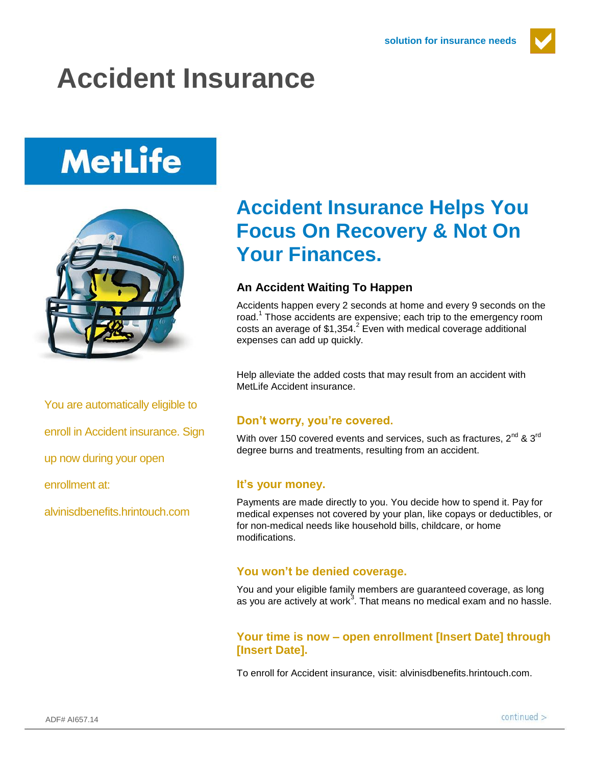

## **Accident Insurance**

# **MetLife**



You are automatically eligible to

enroll in Accident insurance. Sign

up now during your open

enrollment at:

alvinisdbenefits.hrintouch.com

### **Accident Insurance Helps You Focus On Recovery & Not On Your Finances.**

#### **An Accident Waiting To Happen**

Accidents happen every 2 seconds at home and every 9 seconds on the road.<sup>1</sup> Those accidents are expensive; each trip to the emergency room costs an average of  $$1,354$ <sup>2</sup> Even with medical coverage additional expenses can add up quickly.

Help alleviate the added costs that may result from an accident with MetLife Accident insurance

#### **Don't worry, you're covered.**

With over 150 covered events and services, such as fractures,  $2^{nd}$  &  $3^{rd}$ degree burns and treatments, resulting from an accident.

#### **It's your money.**

Payments are made directly to you. You decide how to spend it. Pay for medical expenses not covered by your plan, like copays or deductibles, or for non-medical needs like household bills, childcare, or home modifications.

#### **You won't be denied coverage.**

You and your eligible family members are guaranteed coverage, as long as you are actively at work<sup>3</sup>. That means no medical exam and no hassle.

#### **Your time is now – open enrollment [Insert Date] through [Insert Date].**

To enroll for Accident insurance, visit: alvinisdbenefits.hrintouch.com.